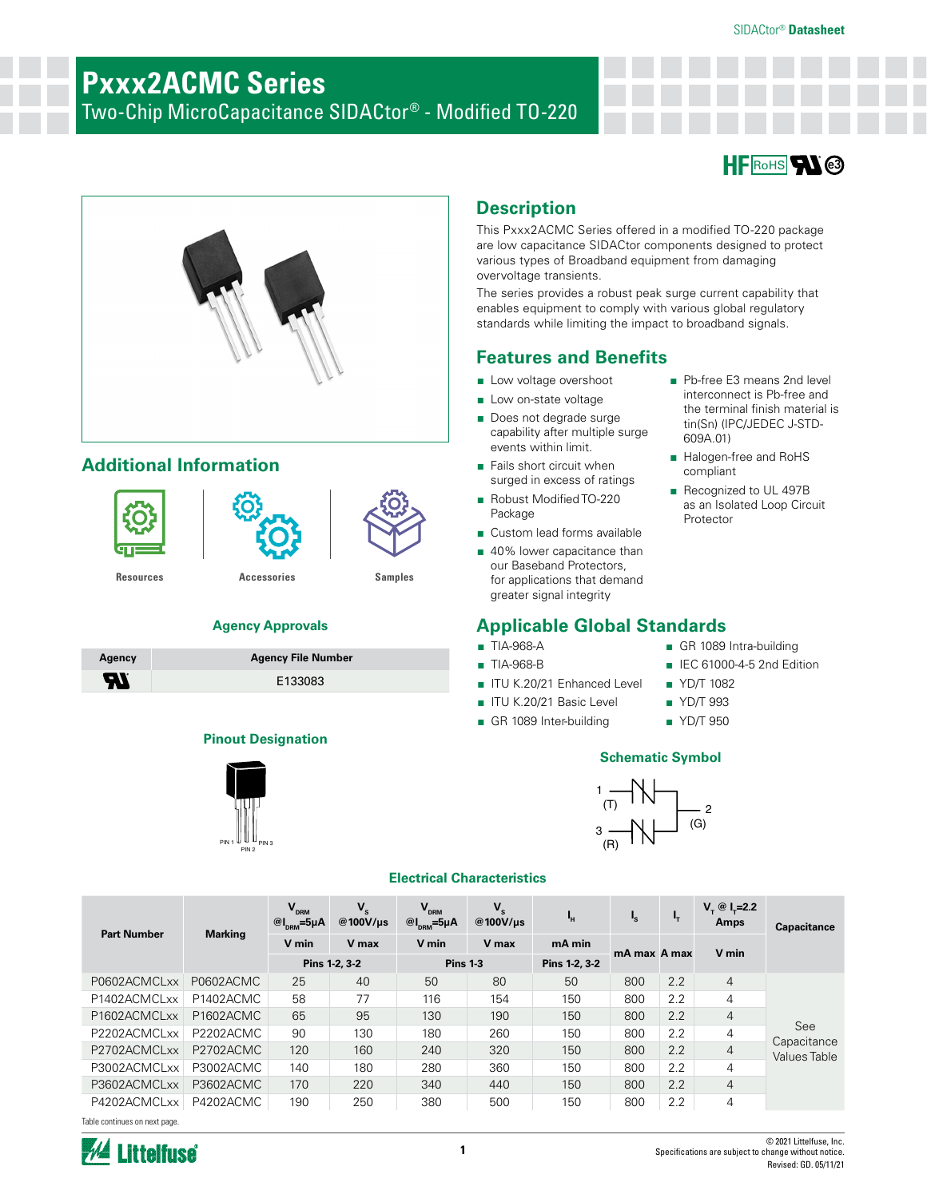# **Pxxx2ACMC Series**

Two-Chip MicroCapacitance SIDACtor® - Modified TO-220



■ Pb-free E3 means 2nd level interconnect is Pb-free and the terminal finish material is tin(Sn) (IPC/JEDEC J-STD-

■ Halogen-free and RoHS

■ Recognized to UL 497B as an Isolated Loop Circuit

■ GR 1089 Intra-building ■ IEC 61000-4-5 2nd Edition

609A.01)

compliant

Protector



# **Additional Information**



### **Agency Approvals**

| Agency | <b>Agency File Number</b> |
|--------|---------------------------|
| ЯI     | E133083                   |

### **Pinout Designation**



# **Description**

This Pxxx2ACMC Series offered in a modified TO-220 package are low capacitance SIDACtor components designed to protect various types of Broadband equipment from damaging overvoltage transients.

The series provides a robust peak surge current capability that enables equipment to comply with various global regulatory standards while limiting the impact to broadband signals.

## **Features and Benefits**

- Low voltage overshoot
- Low on-state voltage
- Does not degrade surge capability after multiple surge events within limit.
- Fails short circuit when surged in excess of ratings
- Robust Modified TO-220 Package
- Custom lead forms available
- 40% lower capacitance than our Baseband Protectors, for applications that demand greater signal integrity

## **Applicable Global Standards**

- TIA-968-A
- TIA-968-B
- ITU K.20/21 Enhanced Level
- ITU K.20/21 Basic Level
- GR 1089 Inter-building
- 

■ YD/T 1082 ■ YD/T 993 ■ YD/T 950

### **Schematic Symbol**



### **Electrical Characteristics**

| <b>Part Number</b> | <b>Marking</b> | $V_{DRM}$<br>$@I_{\text{DRM}}=5\mu A$ | $V_{s}$<br>@100V/us | $V_{DRM}$<br>$@I_{DRM} = 5\mu A$ | $V_{s}$<br>@100V/ $\mu$ s | ч,            | $\mathbf{I}_\mathbf{S}$ | ι,               | $V_{\tau} \otimes I_{\tau} = 2.2$<br>Amps | <b>Capacitance</b>                 |
|--------------------|----------------|---------------------------------------|---------------------|----------------------------------|---------------------------|---------------|-------------------------|------------------|-------------------------------------------|------------------------------------|
|                    |                | V min                                 | V max               | V min                            | V max                     | mA min        | mA max A max            |                  | V min                                     |                                    |
|                    |                |                                       | Pins 1-2, 3-2       | <b>Pins 1-3</b>                  |                           | Pins 1-2, 3-2 |                         |                  |                                           |                                    |
| P0602ACMCLxx       | P0602ACMC      | 25                                    | 40                  | 50                               | 80                        | 50            | 800                     | 2.2              | $\overline{4}$                            |                                    |
| P1402ACMCLxx       | P1402ACMC      | 58                                    | 77                  | 116                              | 154                       | 150           | 800                     | 2.2              | 4                                         |                                    |
| P1602ACMCLxx       | P1602ACMC      | 65                                    | 95                  | 130                              | 190                       | 150           | 800                     | 2.2              | $\overline{4}$                            |                                    |
| P2202ACMCLxx       | P2202ACMC      | 90                                    | 130                 | 180                              | 260                       | 150           | 800                     | $2.2\phantom{0}$ | 4                                         | See                                |
| P2702ACMCLxx       | P2702ACMC      | 120                                   | 160                 | 240                              | 320                       | 150           | 800                     | 2.2              | $\overline{4}$                            | Capacitance<br><b>Values Table</b> |
| P3002ACMCLxx       | P3002ACMC      | 140                                   | 180                 | 280                              | 360                       | 150           | 800                     | $2.2\phantom{0}$ | 4                                         |                                    |
| P3602ACMCLxx       | P3602ACMC      | 170                                   | 220                 | 340                              | 440                       | 150           | 800                     | 2.2              | $\overline{4}$                            |                                    |
| P4202ACMCLxx       | P4202ACMC      | 190                                   | 250                 | 380                              | 500                       | 150           | 800                     | 2.2              | 4                                         |                                    |

Table continues on next page.

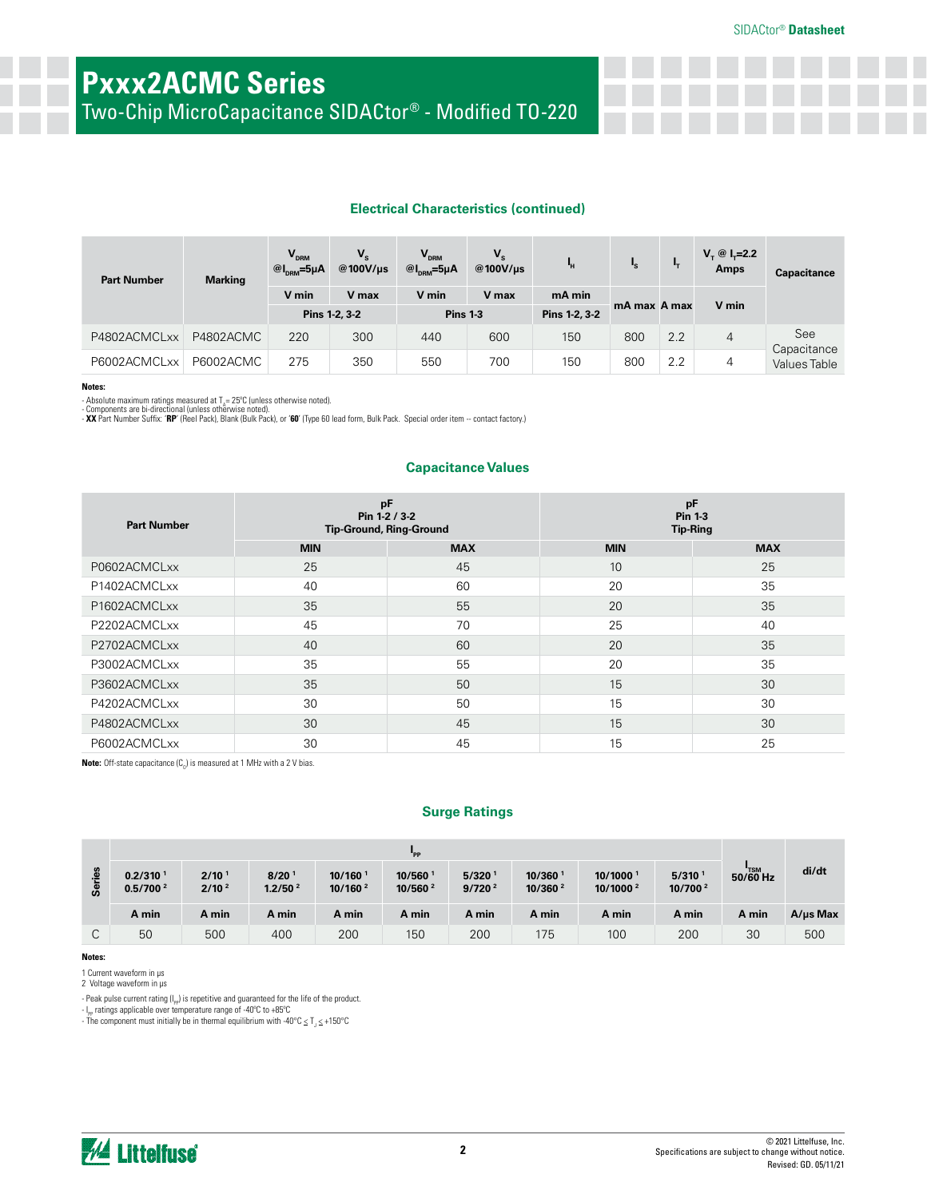Two-Chip MicroCapacitance SIDACtor® - Modified TO-220

### **Electrical Characteristics (continued)**

| <b>Part Number</b> | <b>Marking</b> | $V_{DRM}$<br>$@I_{DRM} = 5\mu A$ | $V_{\rm s}$<br>@100V/us | $V_{DRM}$<br>$@I_{\text{DRM}}=5\mu A$ | $V_{s}$<br>@100V/us | 'n.           | $\mathbf{l}_\mathrm{s}$ | ъ.  | $V_{\tau} \otimes I_{\tau} = 2.2$<br><b>Amps</b> | Capacitance         |
|--------------------|----------------|----------------------------------|-------------------------|---------------------------------------|---------------------|---------------|-------------------------|-----|--------------------------------------------------|---------------------|
|                    |                | V min                            | V max                   | V min                                 | V max               | mA min        | mA max A max            |     |                                                  |                     |
|                    |                |                                  | Pins 1-2, 3-2           | <b>Pins 1-3</b>                       |                     | Pins 1-2, 3-2 |                         |     | V min                                            |                     |
| P4802ACMCLxx       | P4802ACMC      | 220                              | 300                     | 440                                   | 600                 | 150           | 800                     | 2.2 | $\overline{4}$                                   | See<br>Capacitance  |
| P6002ACMCLxx       | P6002ACMC      | 275                              | 350                     | 550                                   | 700                 | 150           | 800                     | 2.2 | 4                                                | <b>Values Table</b> |

### **Notes:**

- Absolute maximum ratings measured at T<sub>x</sub>= 25°C (unless otherwise noted).<br>- Components are bi-directional (unless otherwise noted).<br>- **XX** Part Number Suffix: "**RP**" (Reel Pack), Blank (Bulk Pack), or '60' (Type 60 lead

### **Capacitance Values**

| <b>Part Number</b> |            | pF<br>Pin 1-2 / 3-2<br><b>Tip-Ground, Ring-Ground</b> | pF<br><b>Pin 1-3</b><br><b>Tip-Ring</b> |            |  |
|--------------------|------------|-------------------------------------------------------|-----------------------------------------|------------|--|
|                    | <b>MIN</b> | <b>MAX</b>                                            | <b>MIN</b>                              | <b>MAX</b> |  |
| P0602ACMCLxx       | 25         | 45                                                    | 10                                      | 25         |  |
| P1402ACMCLxx       | 40         | 60                                                    | 20                                      | 35         |  |
| P1602ACMCLxx       | 35         | 55                                                    | 20                                      | 35         |  |
| P2202ACMCLxx       | 45         | 70                                                    | 25                                      | 40         |  |
| P2702ACMCLxx       | 40         | 60                                                    | 20                                      | 35         |  |
| P3002ACMCLxx       | 35         | 55                                                    | 20                                      | 35         |  |
| P3602ACMCLxx       | 35         | 50                                                    | 15                                      | 30         |  |
| P4202ACMCLxx       | 30         | 50                                                    | 15                                      | 30         |  |
| P4802ACMCLxx       | 30         | 45                                                    | 15                                      | 30         |  |
| P6002ACMCLxx       | 30         | 45                                                    | 15                                      | 25         |  |

**Note:** Off-state capacitance (C<sub>o</sub>) is measured at 1 MHz with a 2 V bias.

### **Surge Ratings**

|            | "PP                                          |                                        |                                          |                                              |                               |                             |                                              |                                              |                                           |            |               |
|------------|----------------------------------------------|----------------------------------------|------------------------------------------|----------------------------------------------|-------------------------------|-----------------------------|----------------------------------------------|----------------------------------------------|-------------------------------------------|------------|---------------|
| sein<br>တိ | 0.2/310 <sup>1</sup><br>0.5/700 <sup>2</sup> | 2/10 <sup>1</sup><br>2/10 <sup>2</sup> | 8/20 <sup>1</sup><br>1.2/50 <sup>2</sup> | $10/160$ <sup>1</sup><br>10/160 <sup>2</sup> | 10/560<br>10/560 <sup>2</sup> | 5/320<br>9/720 <sup>2</sup> | $10/360$ <sup>1</sup><br>10/360 <sup>2</sup> | 10/1000 <sup>1</sup><br>10/1000 <sup>2</sup> | 5/310 <sup>1</sup><br>10/700 <sup>2</sup> | $50/60$ Hz | di/dt         |
|            | A min                                        | A min                                  | A min                                    | A min                                        | A min                         | A min                       | A min                                        | A min                                        | A min                                     | A min      | $A/\mu s$ Max |
| ◡          | 50                                           | 500                                    | 400                                      | 200                                          | 150                           | 200                         | 175                                          | 100                                          | 200                                       | 30         | 500           |

**Notes:** 

1 Current waveform in µs

2 Voltage waveform in µs

- Peak pulse current rating (I<sub>PP</sub>) is repetitive and guaranteed for the life of the product.<br>- I<sub>PP</sub> ratings applicable over temperature range of -40°C to +85°C

- The component must initially be in thermal equilibrium with -40°C  $\leq T_{J} \leq +150$ °C

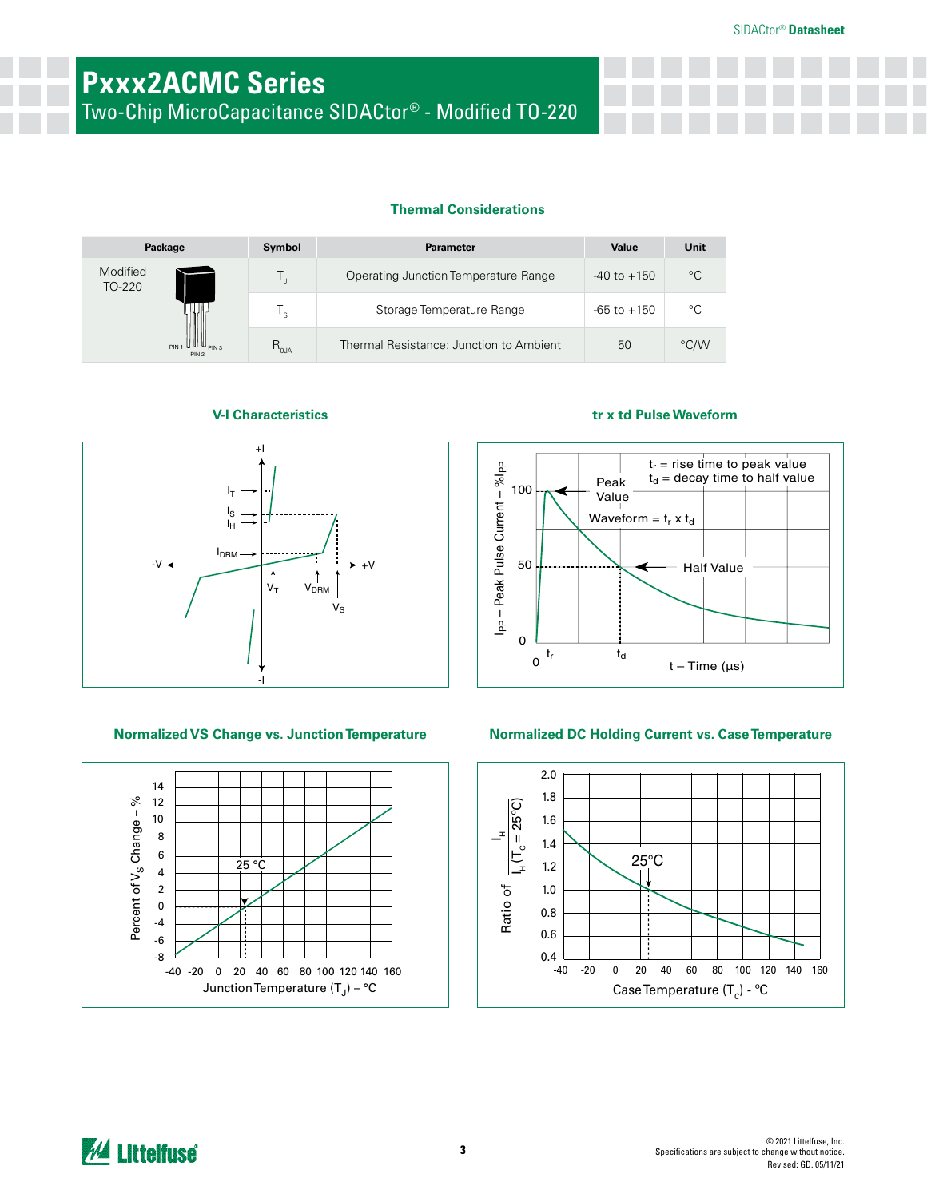Two-Chip MicroCapacitance SIDACtor® - Modified TO-220

### **Thermal Considerations**

|                    | Package                                                              | Symbol         | <b>Parameter</b>                        | Value           | Unit        |
|--------------------|----------------------------------------------------------------------|----------------|-----------------------------------------|-----------------|-------------|
| Modified<br>TO-220 |                                                                      |                | Operating Junction Temperature Range    | $-40$ to $+150$ | $^{\circ}C$ |
|                    |                                                                      | ' s            | Storage Temperature Range               | $-65$ to $+150$ | °C          |
|                    | $PIN 1 \mathbf{U} \mathbf{U} \mathbf{U}_{PIN 3}$<br>PIN <sub>2</sub> | $R_{\theta$ JA | Thermal Resistance: Junction to Ambient | 50              | °C/W        |



### **Normalized VS Change vs. Junction Temperature Normalized DC Holding Current vs. Case Temperature**



### **V-I Characteristics tr x td Pulse Waveform**





*M* Littelfuse®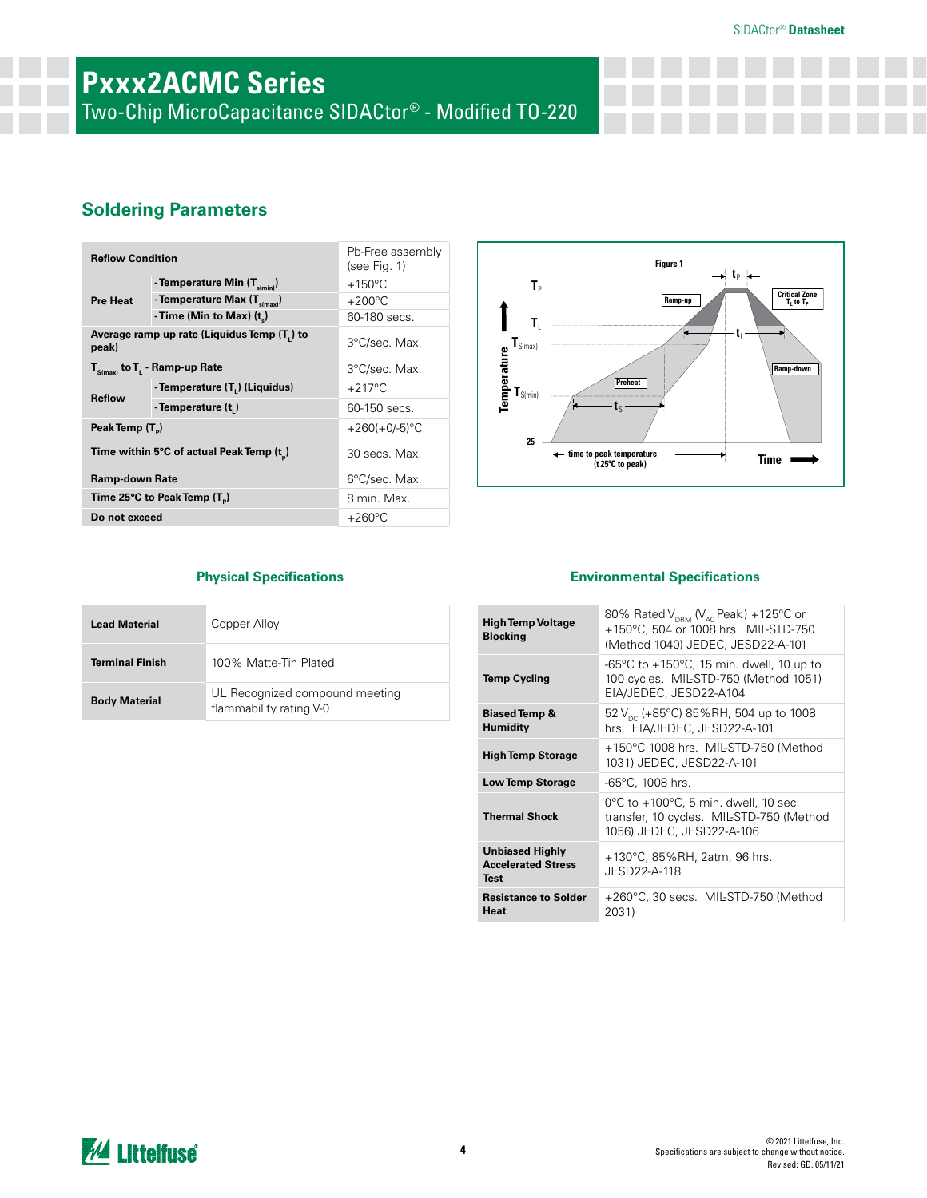# **Pxxx2ACMC Series**

Two-Chip MicroCapacitance SIDACtor® - Modified TO-220

## **Soldering Parameters**

| <b>Reflow Condition</b>     |                                             | Pb-Free assembly<br>(see Fig. 1) |
|-----------------------------|---------------------------------------------|----------------------------------|
|                             | - Temperature Min (T <sub>s(min)</sub> )    | $+150^{\circ}$ C                 |
| <b>Pre Heat</b>             | - Temperature Max (T <sub>s(max)</sub> )    | $+200^{\circ}$ C                 |
|                             | - Time (Min to Max) $(t_*)$                 | 60-180 secs.                     |
| peak)                       | Average ramp up rate (Liquidus Temp (T,) to | 3°C/sec. Max.                    |
|                             | $T_{S(max)}$ to $T_{L}$ - Ramp-up Rate      | 3°C/sec. Max.                    |
|                             | - Temperature (T.) (Liquidus)               | $+217^{\circ}$ C                 |
| <b>Reflow</b>               | - Temperature (t,)                          | 60-150 secs.                     |
| Peak Temp (T <sub>D</sub> ) |                                             | $+260(+0/-5)$ °C                 |
|                             | Time within 5°C of actual Peak Temp (t)     | 30 secs. Max.                    |
| <b>Ramp-down Rate</b>       |                                             | 6°C/sec. Max.                    |
|                             | Time 25°C to Peak Temp (T <sub>a</sub> )    | 8 min. Max.                      |
| Do not exceed               |                                             | $+260^{\circ}$ C                 |



| <b>Lead Material</b>   | Copper Alloy                                              |
|------------------------|-----------------------------------------------------------|
| <b>Terminal Finish</b> | 100% Matte-Tin Plated                                     |
| <b>Body Material</b>   | UL Recognized compound meeting<br>flammability rating V-0 |

### **Physical Specifications Environmental Specifications**

| <b>High Temp Voltage</b><br><b>Blocking</b>                        | 80% Rated $V_{DRM}$ ( $V_{AC}$ Peak) +125°C or<br>+150°C, 504 or 1008 hrs. MIL-STD-750<br>(Method 1040) JEDEC, JESD22-A-101        |
|--------------------------------------------------------------------|------------------------------------------------------------------------------------------------------------------------------------|
| <b>Temp Cycling</b>                                                | -65 $^{\circ}$ C to +150 $^{\circ}$ C, 15 min. dwell, 10 up to<br>100 cycles. MIL-STD-750 (Method 1051)<br>EIA/JEDEC, JESD22-A104  |
| <b>Biased Temp &amp;</b><br><b>Humidity</b>                        | 52 $V_{\text{nc}}$ (+85°C) 85%RH, 504 up to 1008<br>hrs. EIA/JEDEC, JESD22-A-101                                                   |
| <b>High Temp Storage</b>                                           | +150°C 1008 hrs. MIL-STD-750 (Method<br>1031) JEDEC, JESD22-A-101                                                                  |
| <b>Low Temp Storage</b>                                            | $-65^{\circ}$ C, 1008 hrs.                                                                                                         |
| <b>Thermal Shock</b>                                               | $0^{\circ}$ C to +100 $^{\circ}$ C, 5 min. dwell, 10 sec.<br>transfer, 10 cycles. MIL-STD-750 (Method<br>1056) JEDEC, JESD22-A-106 |
| <b>Unbiased Highly</b><br><b>Accelerated Stress</b><br><b>Test</b> | +130°C, 85%RH, 2atm, 96 hrs.<br>JESD22-A-118                                                                                       |
| <b>Resistance to Solder</b><br>Heat                                | +260°C, 30 secs. MIL-STD-750 (Method<br>2031)                                                                                      |